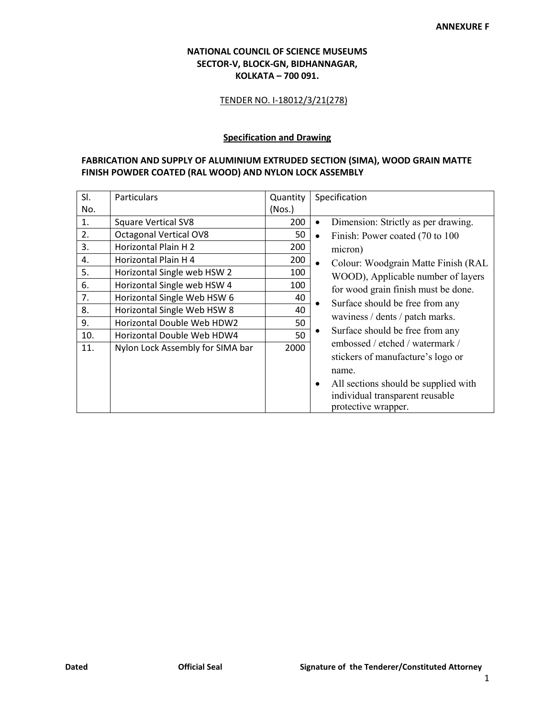## **NATIONAL COUNCIL OF SCIENCE MUSEUMS SECTOR-V, BLOCK-GN, BIDHANNAGAR, KOLKATA – 700 091.**

## TENDER NO. I-18012/3/21(278)

## **Specification and Drawing**

## **FABRICATION AND SUPPLY OF ALUMINIUM EXTRUDED SECTION (SIMA), WOOD GRAIN MATTE FINISH POWDER COATED (RAL WOOD) AND NYLON LOCK ASSEMBLY**

| SI. | <b>Particulars</b>               | Quantity | Specification                                                                                                                                                                                                                                                                                                                                                                             |
|-----|----------------------------------|----------|-------------------------------------------------------------------------------------------------------------------------------------------------------------------------------------------------------------------------------------------------------------------------------------------------------------------------------------------------------------------------------------------|
| No. |                                  | (Nos.)   |                                                                                                                                                                                                                                                                                                                                                                                           |
| 1.  | <b>Square Vertical SV8</b>       | 200      | Dimension: Strictly as per drawing.<br>$\bullet$<br>Finish: Power coated (70 to 100)<br>$\bullet$<br>micron)<br>Colour: Woodgrain Matte Finish (RAL<br>$\bullet$<br>WOOD), Applicable number of layers<br>for wood grain finish must be done.<br>Surface should be free from any<br>waviness / dents / patch marks.<br>Surface should be free from any<br>embossed / etched / watermark / |
| 2.  | <b>Octagonal Vertical OV8</b>    | 50       |                                                                                                                                                                                                                                                                                                                                                                                           |
| 3.  | Horizontal Plain H 2             | 200      |                                                                                                                                                                                                                                                                                                                                                                                           |
| 4.  | Horizontal Plain H 4             | 200      |                                                                                                                                                                                                                                                                                                                                                                                           |
| 5.  | Horizontal Single web HSW 2      | 100      |                                                                                                                                                                                                                                                                                                                                                                                           |
| 6.  | Horizontal Single web HSW 4      | 100      |                                                                                                                                                                                                                                                                                                                                                                                           |
| 7.  | Horizontal Single Web HSW 6      | 40       |                                                                                                                                                                                                                                                                                                                                                                                           |
| 8.  | Horizontal Single Web HSW 8      | 40       |                                                                                                                                                                                                                                                                                                                                                                                           |
| 9.  | Horizontal Double Web HDW2       | 50       |                                                                                                                                                                                                                                                                                                                                                                                           |
| 10. | Horizontal Double Web HDW4       | 50       |                                                                                                                                                                                                                                                                                                                                                                                           |
| 11. | Nylon Lock Assembly for SIMA bar | 2000     |                                                                                                                                                                                                                                                                                                                                                                                           |
|     |                                  |          | stickers of manufacture's logo or                                                                                                                                                                                                                                                                                                                                                         |
|     |                                  |          | name.                                                                                                                                                                                                                                                                                                                                                                                     |
|     |                                  |          | All sections should be supplied with<br>$\bullet$                                                                                                                                                                                                                                                                                                                                         |
|     |                                  |          | individual transparent reusable                                                                                                                                                                                                                                                                                                                                                           |
|     |                                  |          | protective wrapper.                                                                                                                                                                                                                                                                                                                                                                       |